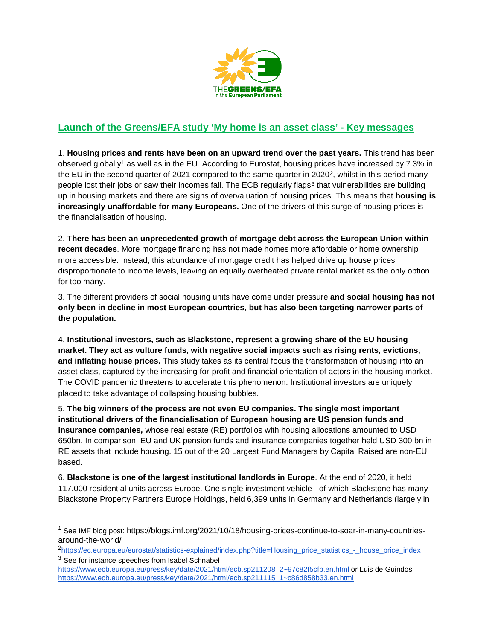

## **Launch of the Greens/EFA study 'My home is an asset class' - Key messages**

1. **Housing prices and rents have been on an upward trend over the past years.** This trend has been observed globally[1](#page-0-0) as well as in the EU. According to Eurostat, housing prices have increased by 7.3% in the EU in the second quarter of 2021 compared to the same quarter in  $2020^2$ , whilst in this period many people lost their jobs or saw their incomes fall. The ECB regularly flags<sup>[3](#page-0-2)</sup> that vulnerabilities are building up in housing markets and there are signs of overvaluation of housing prices. This means that **housing is increasingly unaffordable for many Europeans.** One of the drivers of this surge of housing prices is the financialisation of housing.

2. **There has been an unprecedented growth of mortgage debt across the European Union within recent decades**. More mortgage financing has not made homes more affordable or home ownership more accessible. Instead, this abundance of mortgage credit has helped drive up house prices disproportionate to income levels, leaving an equally overheated private rental market as the only option for too many.

3. The different providers of social housing units have come under pressure **and social housing has not only been in decline in most European countries, but has also been targeting narrower parts of the population.** 

4. **Institutional investors, such as Blackstone, represent a growing share of the EU housing market. They act as vulture funds, with negative social impacts such as rising rents, evictions, and inflating house prices.** This study takes as its central focus the transformation of housing into an asset class, captured by the increasing for-profit and financial orientation of actors in the housing market. The COVID pandemic threatens to accelerate this phenomenon. Institutional investors are uniquely placed to take advantage of collapsing housing bubbles.

5. **The big winners of the process are not even EU companies. The single most important institutional drivers of the financialisation of European housing are US pension funds and insurance companies,** whose real estate (RE) portfolios with housing allocations amounted to USD 650bn. In comparison, EU and UK pension funds and insurance companies together held USD 300 bn in RE assets that include housing. 15 out of the 20 Largest Fund Managers by Capital Raised are non-EU based.

6. **Blackstone is one of the largest institutional landlords in Europe**. At the end of 2020, it held 117.000 residential units across Europe. One single investment vehicle - of which Blackstone has many - Blackstone Property Partners Europe Holdings, held 6,399 units in Germany and Netherlands (largely in

<span id="page-0-0"></span><sup>&</sup>lt;sup>1</sup> See IMF blog post: https://blogs.imf.org/2021/10/18/housing-prices-continue-to-soar-in-many-countriesaround-the-world/

<span id="page-0-2"></span><span id="page-0-1"></span><sup>&</sup>lt;sup>2</sup>[https://ec.europa.eu/eurostat/statistics-explained/index.php?title=Housing\\_price\\_statistics\\_-\\_house\\_price\\_index](https://ec.europa.eu/eurostat/statistics-explained/index.php?title=Housing_price_statistics_-_house_price_index) <sup>3</sup> See for instance speeches from Isabel Schnabel

[https://www.ecb.europa.eu/press/key/date/2021/html/ecb.sp211208\\_2~97c82f5cfb.en.html](https://www.ecb.europa.eu/press/key/date/2021/html/ecb.sp211208_2%7E97c82f5cfb.en.html) or Luis de Guindos: [https://www.ecb.europa.eu/press/key/date/2021/html/ecb.sp211115\\_1~c86d858b33.en.html](https://www.ecb.europa.eu/press/key/date/2021/html/ecb.sp211115_1%7Ec86d858b33.en.html)